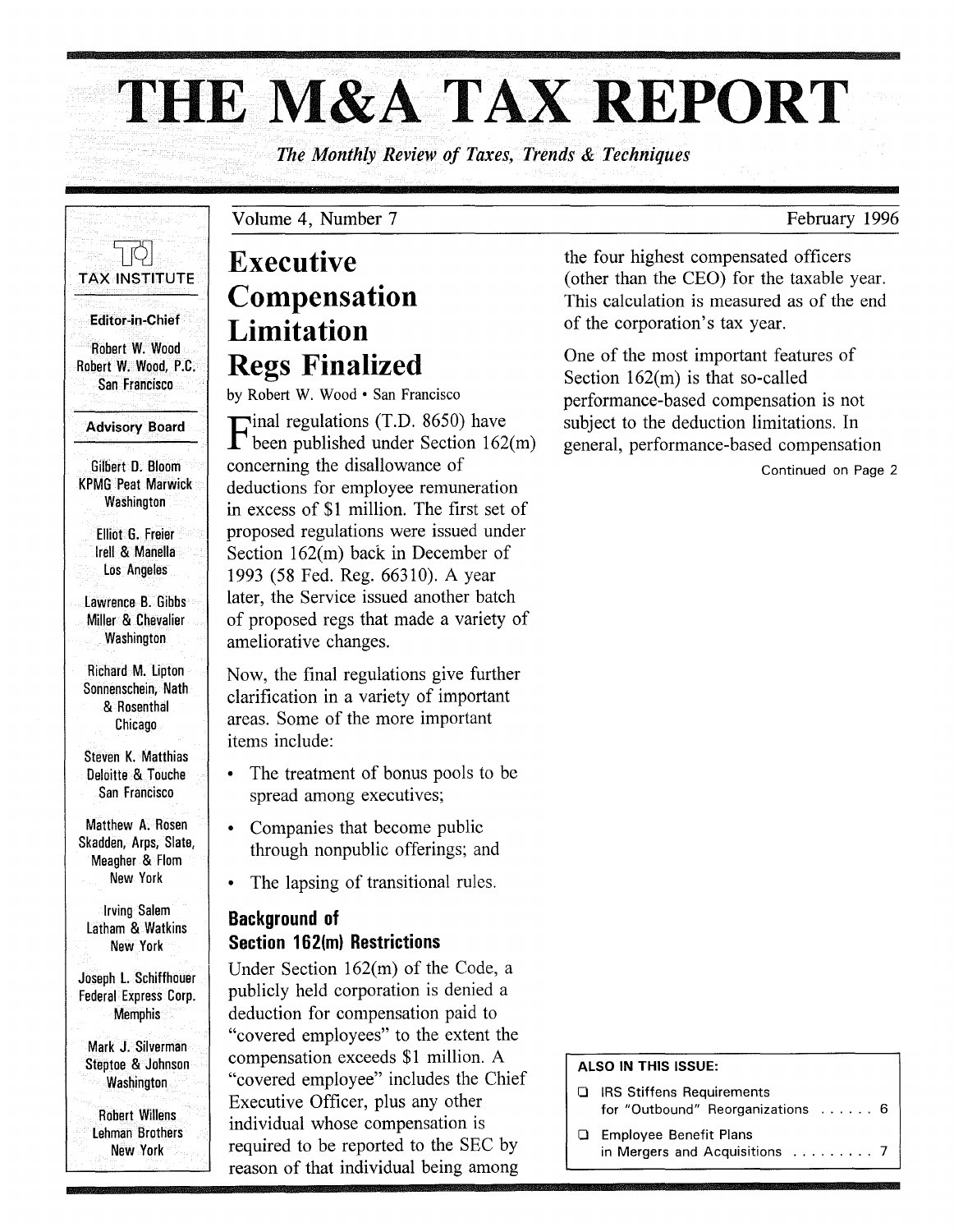# **THE** M&A TAX **REPORT**

*The Monthly Review of Taxes, Trends* & *Techniques* 

1 IQ. TAX INSTITUTE

Editor-in-Chief

Robert W. Wood Robert W. Wood, P.C. San Francisco

#### Advisory Board

Gilbert O. Bloom KPMG Peat Marwick **Washington** 

Elliot G. Freier Irell & Manella los Angeles

lawrence B. Gibbs Miller & Chevalier **Washington** 

Richard M. lipton Sonnenschein, Nath & Rosenthal Chicago

Steven K. Matthias Oeloitte & Touche San Francisco

Matthew A. Rosen Skadden, Arps, Slate, Meagher & Flom New York

Irving Salem latham & Watkins New York

Joseph l. Schiffhouer Federal Express Corp. **Memphis** 

Mark J. Silverman Steptoe & Johnson **Washington** 

Robert Willens lehman Brothers New York

# Executive Compensation Limitation Regs Finalized

Volume 4, Number 7

by Robert W. Wood · San Francisco

Final regulations (T.D. 8650) have been published under Section 162(m) concerning the disallowance of deductions for employee remuneration in excess of \$1 million. The first set of proposed regulations were issued under Section 162(m) back in December of 1993 (58 Fed. Reg. 66310). A year later, the Service issued another batch of proposed regs that made a variety of ameliorative changes.

Now, the final regulations give further clarification in a variety of important areas. Some of the more important items include:

- The treatment of bonus pools to be spread among executives;
- Companies that become public through nonpublic offerings; and
- The lapsing of transitional rules.

#### Background of Section 162(m) Restrictions

Under Section 162(m) of the Code, a publicly held corporation is denied a deduction for compensation paid to "covered employees" to the extent the compensation exceeds \$1 million. A "covered employee" includes the Chief Executive Officer, plus any other individual whose compensation is required to be reported to the SEC by reason of that individual being among

the four highest compensated officers (other than the CEO) for the taxable year. This calculation is measured as of the end of the corporation's tax year.

One of the most important features of Section 162(m) is that so-called performance-based compensation is not subject to the deduction limitations. In general, performance-based compensation

Continued on Page 2

#### ALSO IN THIS ISSUE:

**Q** IRS Stiffens Requirements for "Outbound" Reorganizations ...... 6 o Employee Benefit Plans

in Mergers and Acquisitions .......... 7

February 1996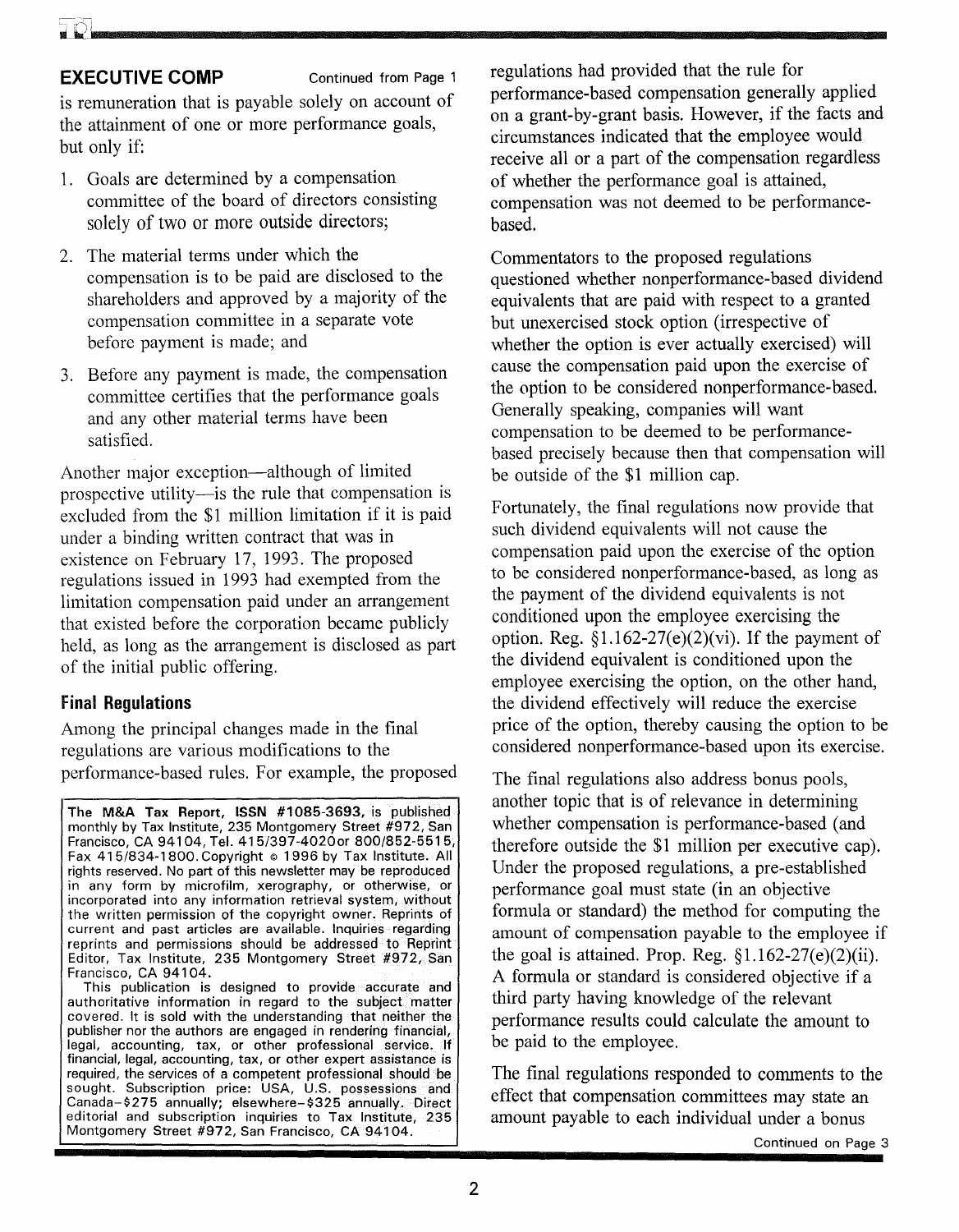#### -~ *n-,:* Ii 1\1.).

#### **EXECUTIVE COMP** Continued from Page 1

is remuneration that is payable solely on account of the attainment of one or more performance goals, but only if:

- 1. Goals are determined by a compensation committee of the board of directors consisting solely of two or more outside directors;
- 2. The material terms under which the compensation is to be paid are disclosed to the shareholders and approved by a majority of the compensation committee in a separate vote before payment is made; and
- 3. Before any payment is made, the compensation committee certifies that the performance goals and any other material terms have been satisfied.

Another major exception—although of limited prospective utility---is the rule that compensation is excluded from the \$1 million limitation if it is paid under a binding written contract that was in existence on February 17, 1993. The proposed regulations issued in 1993 had exempted from the limitation compensation paid under an arrangement that existed before the corporation became publicly held, as long as the arrangement is disclosed as part of the initial public offering.

#### Final **Regulations**

Among the principal changes made in the final regulations are various modifications to the performance-based rules. For example, the proposed

The M&A Tax Report, ISSN #1085-3693, is published monthly by Tax Institute, 235 Montgomery Street #972, San Francisco, CA 94104, Tel. 415/397-4020or 800/852-5515, Fax 415/834-1800. Copyright © 1996 by Tax Institute. All rights reserved. No part of this newsletter may be reproduced in any form by microfilm, xerography, or otherwise, or incorporated into any information retrieval system, without the written permission of the copyright owner. Reprints of current and past articles are available. Inquiries regarding reprints and permissions should be addressed to Reprint Editor, Tax Institute, 235 Montgomery Street #972, San Francisco, CA 94104.

This publication is designed to provide accurate and authoritative information in regard to the subject matter covered. It is sold with the understanding that neither the publisher nor the authors are engaged in rendering financial, legal, accounting, tax, or other professional service. If financial, legal, accounting, tax, or other expert assistance is required, the services of a competent professional should be sought. Subscription price: USA, U.S. possessions and Canada-\$275 annually; elsewhere-\$325 annually. Direct editorial and subscription inquiries to Tax Institute, 235 Montgomery Street #972, San Francisco, CA 94104.

regulations had provided that the rule for performance-based compensation generally applied on a grant-by-grant basis. However, if the facts and circumstances indicated that the employee would receive all or a part of the compensation regardless of whether the performance goal is attained, compensation was not deemed to be performancebased.

Commentators to the proposed regulations questioned whether nonperformance-based dividend equivalents that are paid with respect to a granted but unexercised stock option (irrespective of whether the option is ever actually exercised) will cause the compensation paid upon the exercise of the option to be considered nonperformance-based. Generally speaking, companies will want compensation to be deemed to be performancebased precisely because then that compensation will be outside of the \$1 million cap.

Fortunately, the final regulations now provide that such dividend equivalents will not cause the compensation paid upon the exercise of the option to be considered nonperformance-based, as long as the payment of the dividend equivalents is not conditioned upon the employee exercising the option. Reg.  $$1.162-27(e)(2)(vi)$ . If the payment of the dividend equivalent is conditioned upon the employee exercising the option, on the other hand, the dividend effectively will reduce the exercise price of the option, thereby causing the option to be considered nonperformance-based upon its exercise.

The final regulations also address bonus pools, another topic that is of relevance in determining whether compensation is performance-based (and therefore outside the \$1 million per executive cap). Under the proposed regulations, a pre-established performance goal must state (in an objective formula or standard) the method for computing the amount of compensation payable to the employee if the goal is attained. Prop. Reg.  $\S1.162-27(e)(2)(ii)$ . A formula or standard is considered objective if a third party having knowledge of the relevant performance results could calculate the amount to be paid to the employee.

The final regulations responded to comments to the effect that compensation committees may state an amount payable to each individual under a bonus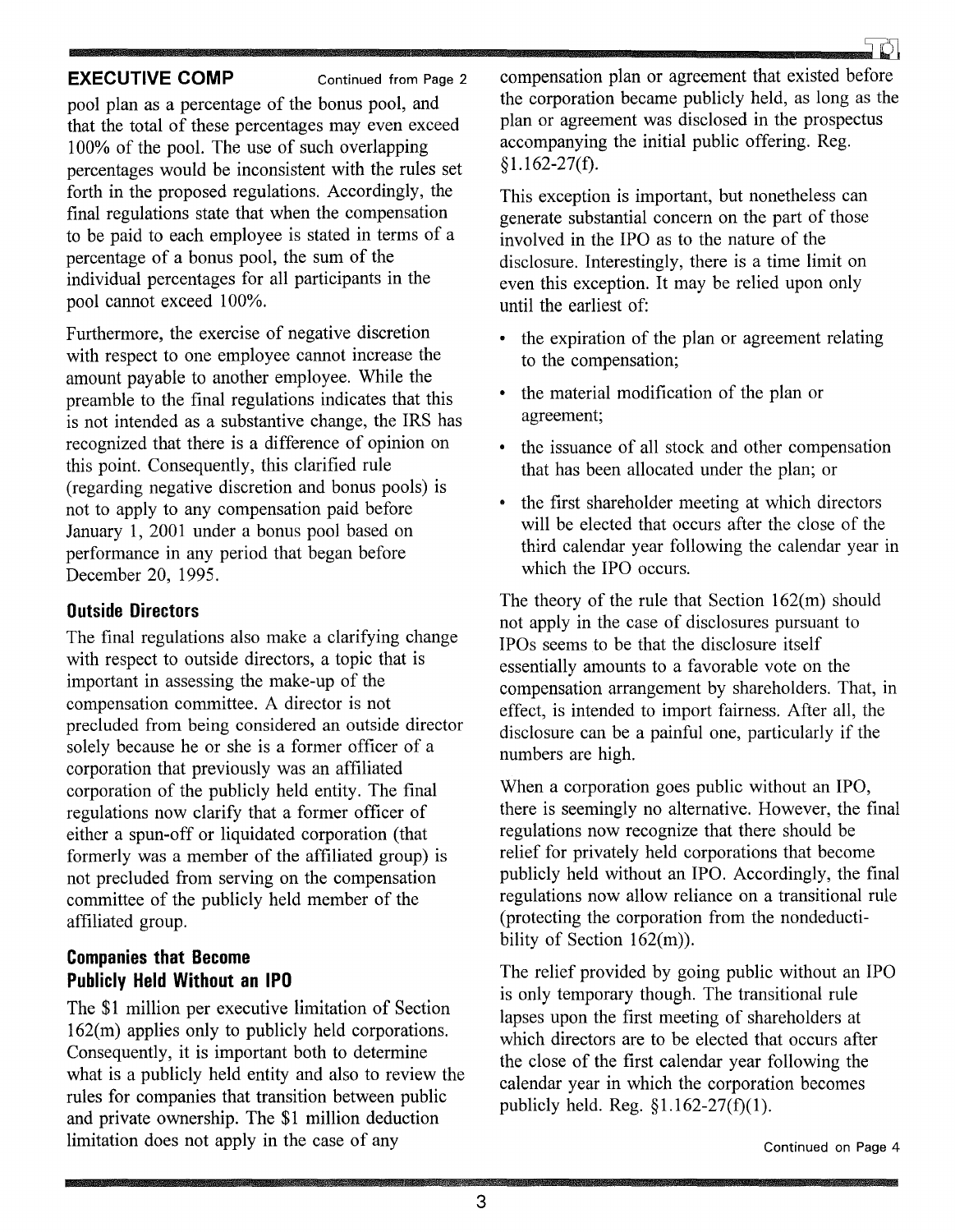

#### **EXECUTIVE COMP** Continued from Page 2

pool plan as a percentage of the bonus pool, and that the total of these percentages may even exceed 100% of the pool. The use of such overlapping percentages would be inconsistent with the rules set forth in the proposed regulations. Accordingly, the final regulations state that when the compensation to be paid to each employee is stated in terms of a percentage of a bonus pool, the sum of the individual percentages for all participants in the pool cannot exceed 100%.

Furthermore, the exercise of negative discretion with respect to one employee cannot increase the amount payable to another employee. While the preamble to the final regulations indicates that this is not intended as a substantive change, the IRS has recognized that there is a difference of opinion on this point. Consequently, this clarified rule (regarding negative discretion and bonus pools) is not to apply to any compensation paid before January 1, 2001 under a bonus pool based on performance in any period that began before December 20, 1995.

#### **Outside Directors**

The final regulations also make a clarifying change with respect to outside directors, a topic that is important in assessing the make-up of the compensation committee. A director is not precluded from being considered an outside director solely because he or she is a former officer of a corporation that previously was an affiliated corporation of the publicly held entity. The final regulations now clarify that a former officer of either a spun-off or liquidated corporation (that formerly was a member of the affiliated group) is not precluded from serving on the compensation committee of the publicly held member of the affiliated group.

### **Companies that Become Publicly Held Without an IPO**

The \$1 million per executive limitation of Section 162(m) applies only to publicly held corporations. Consequently, it is important both to determine what is a publicly held entity and also to review the rules for companies that transition between public and private ownership. The \$1 million deduction limitation does not apply in the case of any

compensation plan or agreement that existed before the corporation became publicly held, as long as the plan or agreement was disclosed in the prospectus accompanying the initial public offering. Reg.  $$1.162-27(f).$ 

This exception is important, but nonetheless can generate substantial concern on the part of those involved in the IPO as to the nature of the disclosure. Interestingly, there is a time limit on even this exception. It may be relied upon only until the earliest of:

- the expiration of the plan or agreement relating to the compensation;
- the material modification of the plan or agreement;
- the issuance of all stock and other compensation that has been allocated under the plan; or
- the first shareholder meeting at which directors will be elected that occurs after the close of the third calendar year following the calendar year in which the IPO occurs.

The theory of the rule that Section 162(m) should not apply in the case of disclosures pursuant to IPOs seems to be that the disclosure itself essentially amounts to a favorable vote on the compensation arrangement by shareholders. That, in effect, is intended to import fairness. After all, the disclosure can be a painful one, particularly if the numbers are high.

When a corporation goes public without an IPO, there is seemingly no alternative. However, the final regulations now recognize that there should be relief for privately held corporations that become publicly held without an IPO. Accordingly, the final regulations now allow reliance on a transitional rule (protecting the corporation from the nondeductibility of Section 162(m)).

The relief provided by going public without an IPO is only temporary though. The transitional rule lapses upon the first meeting of shareholders at which directors are to be elected that occurs after the close of the first calendar year following the calendar year in which the corporation becomes publicly held. Reg. §1.162-27(f)(1).